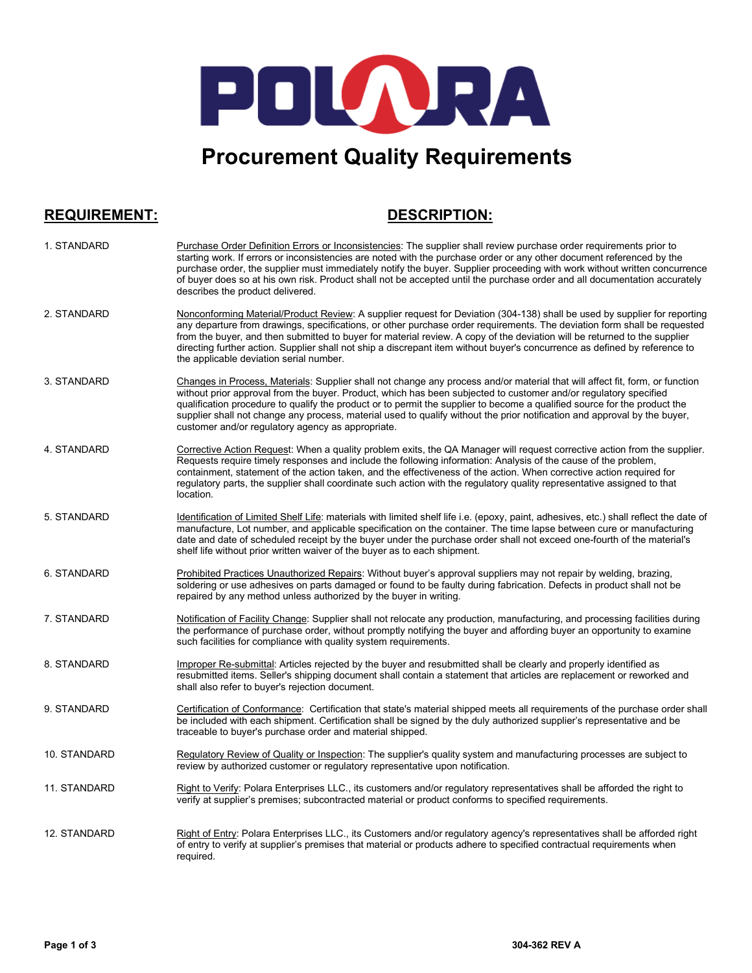

# **Procurement Quality Requirements**

**REQUIREMENT: DESCRIPTION:**

| 1. STANDARD        | Purchase Order Definition Errors or Inconsistencies: The supplier shall review purchase order requirements prior to<br>starting work. If errors or inconsistencies are noted with the purchase order or any other document referenced by the<br>purchase order, the supplier must immediately notify the buyer. Supplier proceeding with work without written concurrence<br>of buyer does so at his own risk. Product shall not be accepted until the purchase order and all documentation accurately<br>describes the product delivered.                      |
|--------------------|-----------------------------------------------------------------------------------------------------------------------------------------------------------------------------------------------------------------------------------------------------------------------------------------------------------------------------------------------------------------------------------------------------------------------------------------------------------------------------------------------------------------------------------------------------------------|
| 2. STANDARD        | Nonconforming Material/Product Review: A supplier request for Deviation (304-138) shall be used by supplier for reporting<br>any departure from drawings, specifications, or other purchase order requirements. The deviation form shall be requested<br>from the buyer, and then submitted to buyer for material review. A copy of the deviation will be returned to the supplier<br>directing further action. Supplier shall not ship a discrepant item without buyer's concurrence as defined by reference to<br>the applicable deviation serial number.     |
| 3. STANDARD        | Changes in Process, Materials: Supplier shall not change any process and/or material that will affect fit, form, or function<br>without prior approval from the buyer. Product, which has been subjected to customer and/or regulatory specified<br>qualification procedure to qualify the product or to permit the supplier to become a qualified source for the product the<br>supplier shall not change any process, material used to qualify without the prior notification and approval by the buyer,<br>customer and/or regulatory agency as appropriate. |
| 4. STANDARD        | Corrective Action Request: When a quality problem exits, the QA Manager will request corrective action from the supplier.<br>Requests require timely responses and include the following information: Analysis of the cause of the problem,<br>containment, statement of the action taken, and the effectiveness of the action. When corrective action required for<br>regulatory parts, the supplier shall coordinate such action with the regulatory quality representative assigned to that<br>location.                                                     |
| 5. STANDARD        | Identification of Limited Shelf Life: materials with limited shelf life i.e. (epoxy, paint, adhesives, etc.) shall reflect the date of<br>manufacture, Lot number, and applicable specification on the container. The time lapse between cure or manufacturing<br>date and date of scheduled receipt by the buyer under the purchase order shall not exceed one-fourth of the material's<br>shelf life without prior written waiver of the buyer as to each shipment.                                                                                           |
| <b>6. STANDARD</b> | Prohibited Practices Unauthorized Repairs: Without buyer's approval suppliers may not repair by welding, brazing,<br>soldering or use adhesives on parts damaged or found to be faulty during fabrication. Defects in product shall not be<br>repaired by any method unless authorized by the buyer in writing.                                                                                                                                                                                                                                                 |
| 7. STANDARD        | Notification of Facility Change: Supplier shall not relocate any production, manufacturing, and processing facilities during<br>the performance of purchase order, without promptly notifying the buyer and affording buyer an opportunity to examine<br>such facilities for compliance with quality system requirements.                                                                                                                                                                                                                                       |
| 8. STANDARD        | Improper Re-submittal: Articles rejected by the buyer and resubmitted shall be clearly and properly identified as<br>resubmitted items. Seller's shipping document shall contain a statement that articles are replacement or reworked and<br>shall also refer to buyer's rejection document.                                                                                                                                                                                                                                                                   |
| 9. STANDARD        | Certification of Conformance: Certification that state's material shipped meets all requirements of the purchase order shall<br>be included with each shipment. Certification shall be signed by the duly authorized supplier's representative and be<br>traceable to buyer's purchase order and material shipped.                                                                                                                                                                                                                                              |
| 10. STANDARD       | Regulatory Review of Quality or Inspection: The supplier's quality system and manufacturing processes are subject to<br>review by authorized customer or regulatory representative upon notification.                                                                                                                                                                                                                                                                                                                                                           |
| 11. STANDARD       | Right to Verify: Polara Enterprises LLC., its customers and/or regulatory representatives shall be afforded the right to<br>verify at supplier's premises; subcontracted material or product conforms to specified requirements.                                                                                                                                                                                                                                                                                                                                |
| 12. STANDARD       | Right of Entry: Polara Enterprises LLC., its Customers and/or regulatory agency's representatives shall be afforded right<br>of entry to verify at supplier's premises that material or products adhere to specified contractual requirements when<br>required.                                                                                                                                                                                                                                                                                                 |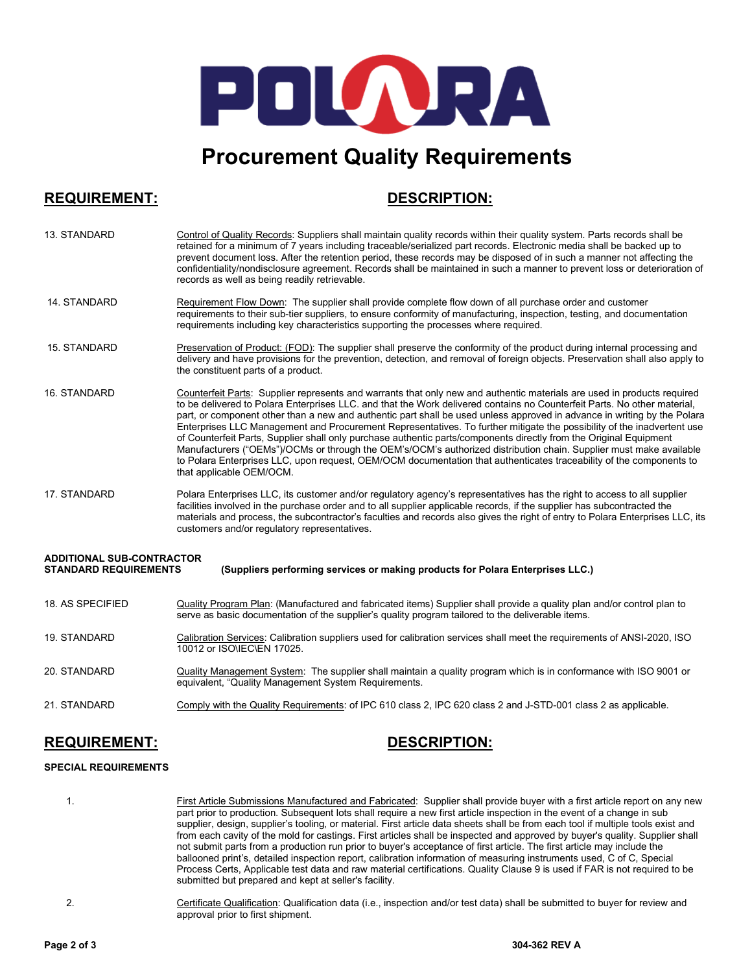

# **Procurement Quality Requirements**

## **REQUIREMENT: DESCRIPTION:**

| 13. STANDARD                                                                                                                                       | Control of Quality Records: Suppliers shall maintain quality records within their quality system. Parts records shall be<br>retained for a minimum of 7 years including traceable/serialized part records. Electronic media shall be backed up to<br>prevent document loss. After the retention period, these records may be disposed of in such a manner not affecting the<br>confidentiality/nondisclosure agreement. Records shall be maintained in such a manner to prevent loss or deterioration of<br>records as well as being readily retrievable.                                                                                                                                                                                                                                                                                                                                                |  |
|----------------------------------------------------------------------------------------------------------------------------------------------------|----------------------------------------------------------------------------------------------------------------------------------------------------------------------------------------------------------------------------------------------------------------------------------------------------------------------------------------------------------------------------------------------------------------------------------------------------------------------------------------------------------------------------------------------------------------------------------------------------------------------------------------------------------------------------------------------------------------------------------------------------------------------------------------------------------------------------------------------------------------------------------------------------------|--|
| 14. STANDARD                                                                                                                                       | Requirement Flow Down: The supplier shall provide complete flow down of all purchase order and customer<br>requirements to their sub-tier suppliers, to ensure conformity of manufacturing, inspection, testing, and documentation<br>requirements including key characteristics supporting the processes where required.                                                                                                                                                                                                                                                                                                                                                                                                                                                                                                                                                                                |  |
| 15. STANDARD                                                                                                                                       | Preservation of Product: (FOD): The supplier shall preserve the conformity of the product during internal processing and<br>delivery and have provisions for the prevention, detection, and removal of foreign objects. Preservation shall also apply to<br>the constituent parts of a product.                                                                                                                                                                                                                                                                                                                                                                                                                                                                                                                                                                                                          |  |
| 16. STANDARD                                                                                                                                       | Counterfeit Parts: Supplier represents and warrants that only new and authentic materials are used in products required<br>to be delivered to Polara Enterprises LLC. and that the Work delivered contains no Counterfeit Parts. No other material,<br>part, or component other than a new and authentic part shall be used unless approved in advance in writing by the Polara<br>Enterprises LLC Management and Procurement Representatives. To further mitigate the possibility of the inadvertent use<br>of Counterfeit Parts, Supplier shall only purchase authentic parts/components directly from the Original Equipment<br>Manufacturers ("OEMs")/OCMs or through the OEM's/OCM's authorized distribution chain. Supplier must make available<br>to Polara Enterprises LLC, upon request, OEM/OCM documentation that authenticates traceability of the components to<br>that applicable OEM/OCM. |  |
| 17. STANDARD                                                                                                                                       | Polara Enterprises LLC, its customer and/or regulatory agency's representatives has the right to access to all supplier<br>facilities involved in the purchase order and to all supplier applicable records, if the supplier has subcontracted the<br>materials and process, the subcontractor's faculties and records also gives the right of entry to Polara Enterprises LLC, its<br>customers and/or regulatory representatives.                                                                                                                                                                                                                                                                                                                                                                                                                                                                      |  |
| <b>ADDITIONAL SUB-CONTRACTOR</b><br><b>STANDARD REQUIREMENTS</b><br>(Suppliers performing services or making products for Polara Enterprises LLC.) |                                                                                                                                                                                                                                                                                                                                                                                                                                                                                                                                                                                                                                                                                                                                                                                                                                                                                                          |  |
|                                                                                                                                                    |                                                                                                                                                                                                                                                                                                                                                                                                                                                                                                                                                                                                                                                                                                                                                                                                                                                                                                          |  |
| 18. AS SPECIFIED                                                                                                                                   | Quality Program Plan: (Manufactured and fabricated items) Supplier shall provide a quality plan and/or control plan to<br>serve as basic documentation of the supplier's quality program tailored to the deliverable items.                                                                                                                                                                                                                                                                                                                                                                                                                                                                                                                                                                                                                                                                              |  |
| 19. STANDARD                                                                                                                                       | Calibration Services: Calibration suppliers used for calibration services shall meet the requirements of ANSI-2020, ISO<br>10012 or ISO\IEC\EN 17025.                                                                                                                                                                                                                                                                                                                                                                                                                                                                                                                                                                                                                                                                                                                                                    |  |
| 20. STANDARD                                                                                                                                       | Quality Management System: The supplier shall maintain a quality program which is in conformance with ISO 9001 or<br>equivalent, "Quality Management System Requirements.                                                                                                                                                                                                                                                                                                                                                                                                                                                                                                                                                                                                                                                                                                                                |  |
| 21. STANDARD                                                                                                                                       | Comply with the Quality Requirements: of IPC 610 class 2, IPC 620 class 2 and J-STD-001 class 2 as applicable.                                                                                                                                                                                                                                                                                                                                                                                                                                                                                                                                                                                                                                                                                                                                                                                           |  |
|                                                                                                                                                    |                                                                                                                                                                                                                                                                                                                                                                                                                                                                                                                                                                                                                                                                                                                                                                                                                                                                                                          |  |

## **REQUIREMENT: DESCRIPTION:**

### **SPECIAL REQUIREMENTS**

- 1. First Article Submissions Manufactured and Fabricated: Supplier shall provide buyer with a first article report on any new part prior to production. Subsequent lots shall require a new first article inspection in the event of a change in sub supplier, design, supplier's tooling, or material. First article data sheets shall be from each tool if multiple tools exist and from each cavity of the mold for castings. First articles shall be inspected and approved by buyer's quality. Supplier shall not submit parts from a production run prior to buyer's acceptance of first article. The first article may include the ballooned print's, detailed inspection report, calibration information of measuring instruments used, C of C, Special Process Certs, Applicable test data and raw material certifications. Quality Clause 9 is used if FAR is not required to be submitted but prepared and kept at seller's facility.
	- 2. Certificate Qualification: Qualification data (i.e., inspection and/or test data) shall be submitted to buyer for review and approval prior to first shipment.